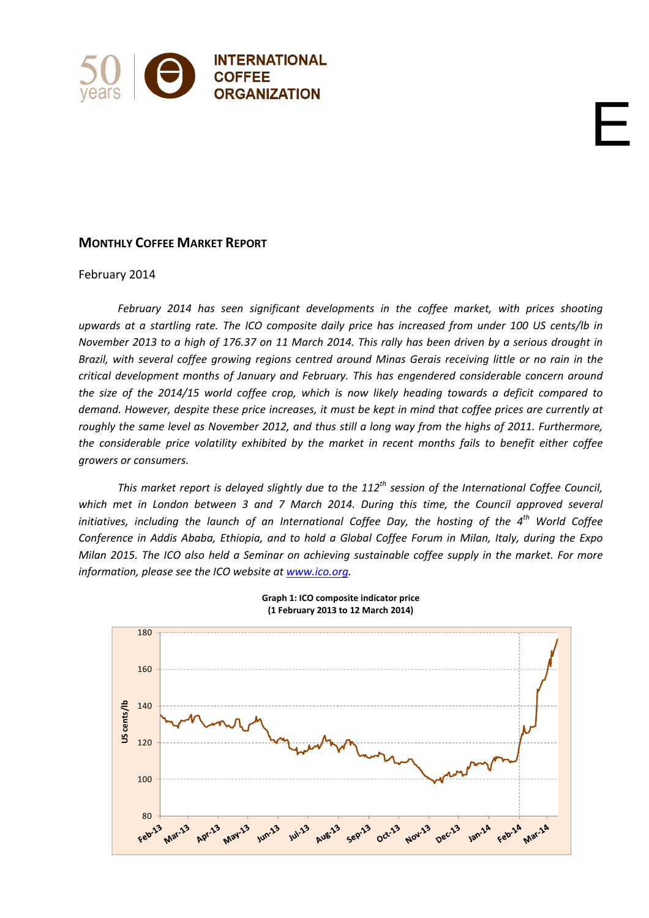

# **MONTHLY COFFEE MARKET REPORT**

### February 2014

*February 2014 has seen significant developments in the coffee market, with prices shooting* upwards at a startling rate. The ICO composite daily price has increased from under 100 US cents/lb in November 2013 to a high of 176.37 on 11 March 2014. This rally has been driven by a serious drought in Brazil, with several coffee growing regions centred around Minas Gerais receiving little or no rain in the *critical development months of January and February. This has engendered considerable concern around* the size of the 2014/15 world coffee crop, which is now likely heading towards a deficit compared to demand. However, despite these price increases, it must be kept in mind that coffee prices are currently at roughly the same level as November 2012, and thus still a long way from the highs of 2011. Furthermore, *the considerable price volatility exhibited by the market in recent months fails to benefit either coffee growers or consumers.* 

E

*This market report is delayed slightly due to the 112th session of the International Coffee Council, which met in London between 3 and 7 March 2014. During this time, the Council approved several initiatives, including the launch of an International Coffee Day, the hosting of the 4th World Coffee* Conference in Addis Ababa, Ethiopia, and to hold a Global Coffee Forum in Milan, Italy, during the Expo Milan 2015. The ICO also held a Seminar on achieving sustainable coffee supply in the market. For more *information, please see the ICO website at www.ico.org.* 



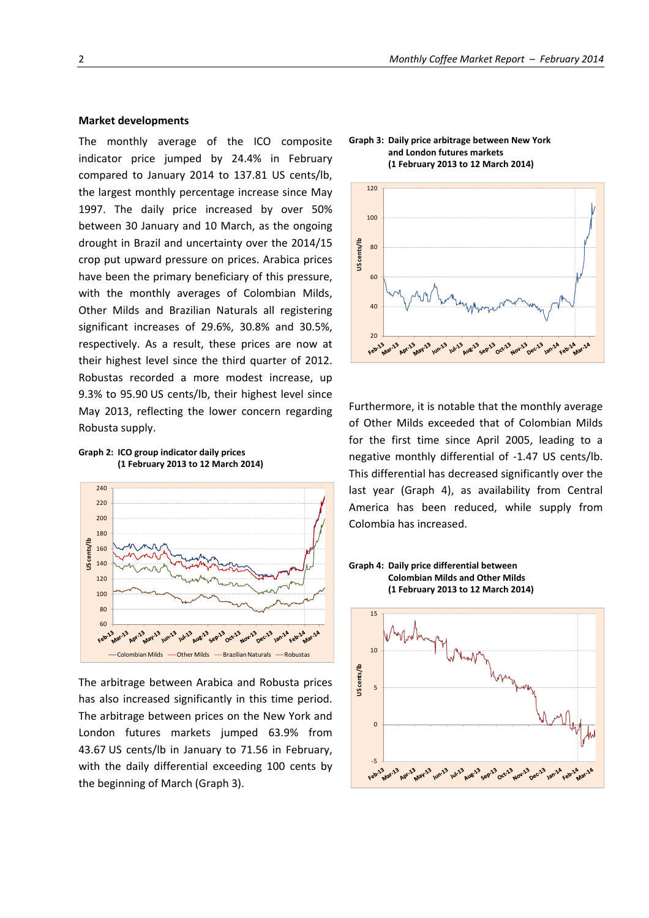#### **Market developments**

The monthly average of the ICO composite indicator price jumped by 24.4% in February compared to January 2014 to 137.81 US cents/lb, the largest monthly percentage increase since May 1997. The daily price increased by over 50% between 30 January and 10 March, as the ongoing drought in Brazil and uncertainty over the 2014/15 crop put upward pressure on prices. Arabica prices have been the primary beneficiary of this pressure, with the monthly averages of Colombian Milds, Other Milds and Brazilian Naturals all registering significant increases of 29.6%, 30.8% and 30.5%, respectively. As a result, these prices are now at their highest level since the third quarter of 2012. Robustas recorded a more modest increase, up 9.3% to 95.90 US cents/lb, their highest level since May 2013, reflecting the lower concern regarding Robusta supply.





The arbitrage between Arabica and Robusta prices has also increased significantly in this time period. The arbitrage between prices on the New York and London futures markets jumped 63.9% from 43.67 US cents/lb in January to 71.56 in February, with the daily differential exceeding 100 cents by the beginning of March (Graph 3).

**Graph 3: Daily price arbitrage between New York and London futures markets (1 February 2013 to 12 March 2014)**



Furthermore, it is notable that the monthly average of Other Milds exceeded that of Colombian Milds for the first time since April 2005, leading to a negative monthly differential of ‐1.47 US cents/lb. This differential has decreased significantly over the last year (Graph 4), as availability from Central America has been reduced, while supply from Colombia has increased.



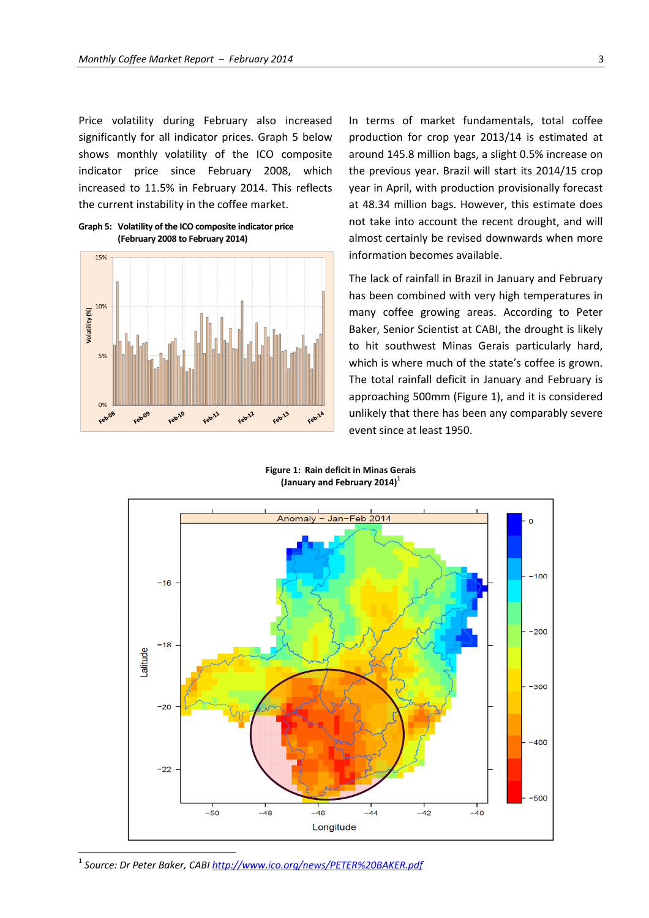Price volatility during February also increased significantly for all indicator prices. Graph 5 below shows monthly volatility of the ICO composite indicator price since February 2008, which increased to 11.5% in February 2014. This reflects the current instability in the coffee market.

**Graph 5: Volatility of the ICO composite indicator price (February 2008 to February 2014)**



In terms of market fundamentals, total coffee production for crop year 2013/14 is estimated at around 145.8 million bags, a slight 0.5% increase on the previous year. Brazil will start its 2014/15 crop year in April, with production provisionally forecast at 48.34 million bags. However, this estimate does not take into account the recent drought, and will almost certainly be revised downwards when more information becomes available.

The lack of rainfall in Brazil in January and February has been combined with very high temperatures in many coffee growing areas. According to Peter Baker, Senior Scientist at CABI, the drought is likely to hit southwest Minas Gerais particularly hard, which is where much of the state's coffee is grown. The total rainfall deficit in January and February is approaching 500mm (Figure 1), and it is considered unlikely that there has been any comparably severe event since at least 1950.

**Figure 1: Rain deficit in Minas Gerais (January and February 2014)<sup>1</sup>**



<sup>1</sup> *Source: Dr Peter Baker, CABI http://www.ico.org/news/PETER%20BAKER.pdf*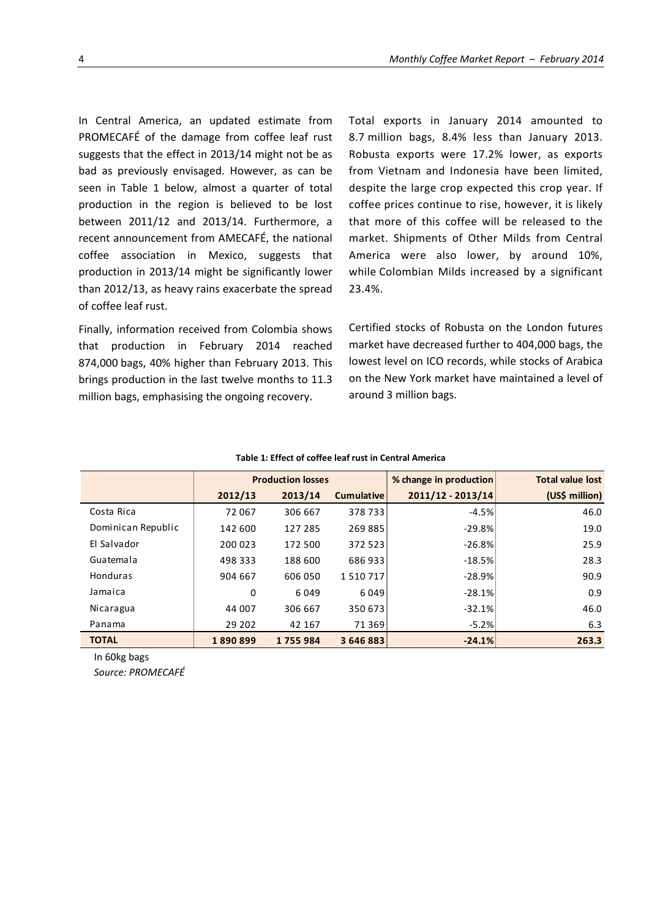In Central America, an updated estimate from PROMECAFÉ of the damage from coffee leaf rust suggests that the effect in 2013/14 might not be as bad as previously envisaged. However, as can be seen in Table 1 below, almost a quarter of total production in the region is believed to be lost between 2011/12 and 2013/14. Furthermore, a recent announcement from AMECAFÉ, the national coffee association in Mexico, suggests that production in 2013/14 might be significantly lower than 2012/13, as heavy rains exacerbate the spread of coffee leaf rust.

Finally, information received from Colombia shows that production in February 2014 reached 874,000 bags, 40% higher than February 2013. This brings production in the last twelve months to 11.3 million bags, emphasising the ongoing recovery.

Total exports in January 2014 amounted to 8.7 million bags, 8.4% less than January 2013. Robusta exports were 17.2% lower, as exports from Vietnam and Indonesia have been limited, despite the large crop expected this crop year. If coffee prices continue to rise, however, it is likely that more of this coffee will be released to the market. Shipments of Other Milds from Central America were also lower, by around 10%, while Colombian Milds increased by a significant 23.4%.

Certified stocks of Robusta on the London futures market have decreased further to 404,000 bags, the lowest level on ICO records, while stocks of Arabica on the New York market have maintained a level of around 3 million bags.

|                    | <b>Production losses</b> |         |                   | % change in production | <b>Total value lost</b> |  |
|--------------------|--------------------------|---------|-------------------|------------------------|-------------------------|--|
|                    | 2012/13                  | 2013/14 | <b>Cumulative</b> | 2011/12 - 2013/14      | (US\$ million)          |  |
| Costa Rica         | 72 067                   | 306 667 | 378733            | $-4.5%$                | 46.0                    |  |
| Dominican Republic | 142 600                  | 127 285 | 269885            | $-29.8%$               | 19.0                    |  |
| El Salvador        | 200 023                  | 172 500 | 372 523           | $-26.8%$               | 25.9                    |  |
| Guatemala          | 498 333                  | 188 600 | 686 933           | $-18.5%$               | 28.3                    |  |
| <b>Honduras</b>    | 904 667                  | 606 050 | 1510717           | $-28.9%$               | 90.9                    |  |
| Jamaica            | 0                        | 6049    | 6 0 4 9           | $-28.1%$               | 0.9                     |  |
| Nicaragua          | 44 007                   | 306 667 | 350 673           | $-32.1%$               | 46.0                    |  |
| Panama             | 29 202                   | 42 167  | 71 3 69           | $-5.2%$                | 6.3                     |  |
| <b>TOTAL</b>       | 1890899                  | 1755984 | 3 646 883         | $-24.1%$               | 263.3                   |  |

### **Table 1: Effect of coffee leaf rust in Central America**

In 60kg bags

*Source: PROMECAFÉ*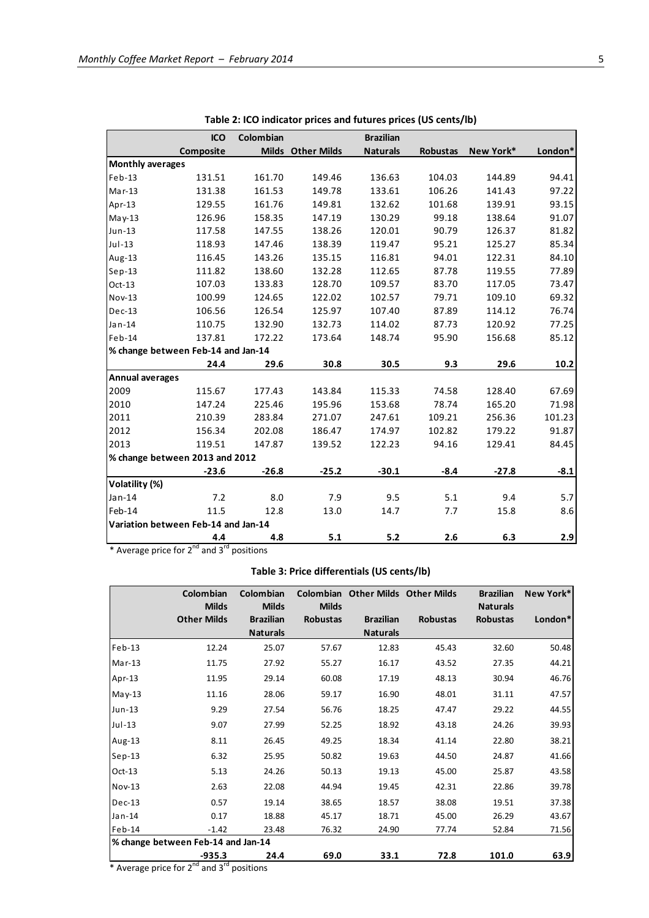|                         | <b>ICO</b>                          | Colombian |                   | <b>Brazilian</b> |          |           |         |
|-------------------------|-------------------------------------|-----------|-------------------|------------------|----------|-----------|---------|
|                         | Composite                           |           | Milds Other Milds | <b>Naturals</b>  | Robustas | New York* | London* |
| <b>Monthly averages</b> |                                     |           |                   |                  |          |           |         |
| $Feb-13$                | 131.51                              | 161.70    | 149.46            | 136.63           | 104.03   | 144.89    | 94.41   |
| $Mar-13$                | 131.38                              | 161.53    | 149.78            | 133.61           | 106.26   | 141.43    | 97.22   |
| Apr-13                  | 129.55                              | 161.76    | 149.81            | 132.62           | 101.68   | 139.91    | 93.15   |
| $May-13$                | 126.96                              | 158.35    | 147.19            | 130.29           | 99.18    | 138.64    | 91.07   |
| Jun-13                  | 117.58                              | 147.55    | 138.26            | 120.01           | 90.79    | 126.37    | 81.82   |
| $Jul-13$                | 118.93                              | 147.46    | 138.39            | 119.47           | 95.21    | 125.27    | 85.34   |
| Aug-13                  | 116.45                              | 143.26    | 135.15            | 116.81           | 94.01    | 122.31    | 84.10   |
| $Sep-13$                | 111.82                              | 138.60    | 132.28            | 112.65           | 87.78    | 119.55    | 77.89   |
| $Oct-13$                | 107.03                              | 133.83    | 128.70            | 109.57           | 83.70    | 117.05    | 73.47   |
| Nov-13                  | 100.99                              | 124.65    | 122.02            | 102.57           | 79.71    | 109.10    | 69.32   |
| $Dec-13$                | 106.56                              | 126.54    | 125.97            | 107.40           | 87.89    | 114.12    | 76.74   |
| Jan-14                  | 110.75                              | 132.90    | 132.73            | 114.02           | 87.73    | 120.92    | 77.25   |
| $Feb-14$                | 137.81                              | 172.22    | 173.64            | 148.74           | 95.90    | 156.68    | 85.12   |
|                         | % change between Feb-14 and Jan-14  |           |                   |                  |          |           |         |
|                         | 24.4                                | 29.6      | 30.8              | 30.5             | 9.3      | 29.6      | 10.2    |
| <b>Annual averages</b>  |                                     |           |                   |                  |          |           |         |
| 2009                    | 115.67                              | 177.43    | 143.84            | 115.33           | 74.58    | 128.40    | 67.69   |
| 2010                    | 147.24                              | 225.46    | 195.96            | 153.68           | 78.74    | 165.20    | 71.98   |
| 2011                    | 210.39                              | 283.84    | 271.07            | 247.61           | 109.21   | 256.36    | 101.23  |
| 2012                    | 156.34                              | 202.08    | 186.47            | 174.97           | 102.82   | 179.22    | 91.87   |
| 2013                    | 119.51                              | 147.87    | 139.52            | 122.23           | 94.16    | 129.41    | 84.45   |
|                         | % change between 2013 and 2012      |           |                   |                  |          |           |         |
|                         | $-23.6$                             | $-26.8$   | $-25.2$           | $-30.1$          | $-8.4$   | $-27.8$   | $-8.1$  |
| Volatility (%)          |                                     |           |                   |                  |          |           |         |
| $Jan-14$                | 7.2                                 | 8.0       | 7.9               | 9.5              | 5.1      | 9.4       | 5.7     |
| Feb-14                  | 11.5                                | 12.8      | 13.0              | 14.7             | 7.7      | 15.8      | 8.6     |
|                         | Variation between Feb-14 and Jan-14 |           |                   |                  |          |           |         |
|                         | 4.4                                 | 4.8       | 5.1               | 5.2              | 2.6      | 6.3       | 2.9     |

**Table 2: ICO indicator prices and futures prices (US cents/lb)**

\* Average price for  $2^{nd}$  and  $3^{rd}$  positions

## **Table 3: Price differentials (US cents/lb)**

|          | Colombian<br><b>Milds</b>                   | Colombian<br><b>Milds</b>           | <b>Milds</b>    | Colombian Other Milds Other Milds   |                 | <b>Brazilian</b><br><b>Naturals</b> | New York* |
|----------|---------------------------------------------|-------------------------------------|-----------------|-------------------------------------|-----------------|-------------------------------------|-----------|
|          | <b>Other Milds</b>                          | <b>Brazilian</b><br><b>Naturals</b> | <b>Robustas</b> | <b>Brazilian</b><br><b>Naturals</b> | <b>Robustas</b> | <b>Robustas</b>                     | London*   |
| $Feb-13$ | 12.24                                       | 25.07                               | 57.67           | 12.83                               | 45.43           | 32.60                               | 50.48     |
| $Mar-13$ | 11.75                                       | 27.92                               | 55.27           | 16.17                               | 43.52           | 27.35                               | 44.21     |
| Apr-13   | 11.95                                       | 29.14                               | 60.08           | 17.19                               | 48.13           | 30.94                               | 46.76     |
| May-13   | 11.16                                       | 28.06                               | 59.17           | 16.90                               | 48.01           | 31.11                               | 47.57     |
| $Jun-13$ | 9.29                                        | 27.54                               | 56.76           | 18.25                               | 47.47           | 29.22                               | 44.55     |
| $Jul-13$ | 9.07                                        | 27.99                               | 52.25           | 18.92                               | 43.18           | 24.26                               | 39.93     |
| Aug-13   | 8.11                                        | 26.45                               | 49.25           | 18.34                               | 41.14           | 22.80                               | 38.21     |
| $Sep-13$ | 6.32                                        | 25.95                               | 50.82           | 19.63                               | 44.50           | 24.87                               | 41.66     |
| $Oct-13$ | 5.13                                        | 24.26                               | 50.13           | 19.13                               | 45.00           | 25.87                               | 43.58     |
| $Nov-13$ | 2.63                                        | 22.08                               | 44.94           | 19.45                               | 42.31           | 22.86                               | 39.78     |
| $Dec-13$ | 0.57                                        | 19.14                               | 38.65           | 18.57                               | 38.08           | 19.51                               | 37.38     |
| Jan-14   | 0.17                                        | 18.88                               | 45.17           | 18.71                               | 45.00           | 26.29                               | 43.67     |
| $Feb-14$ | $-1.42$                                     | 23.48                               | 76.32           | 24.90                               | 77.74           | 52.84                               | 71.56     |
|          | % change between Feb-14 and Jan-14          |                                     |                 |                                     |                 |                                     |           |
| $*$ A    | -935.3<br>$\cdots$ $\cdots$ ond<br>$-1$ ord | 24.4<br>$-1.543 -$                  | 69.0            | 33.1                                | 72.8            | 101.0                               | 63.9      |

Average price for  $2^{nd}$  and  $3^{rd}$  positions